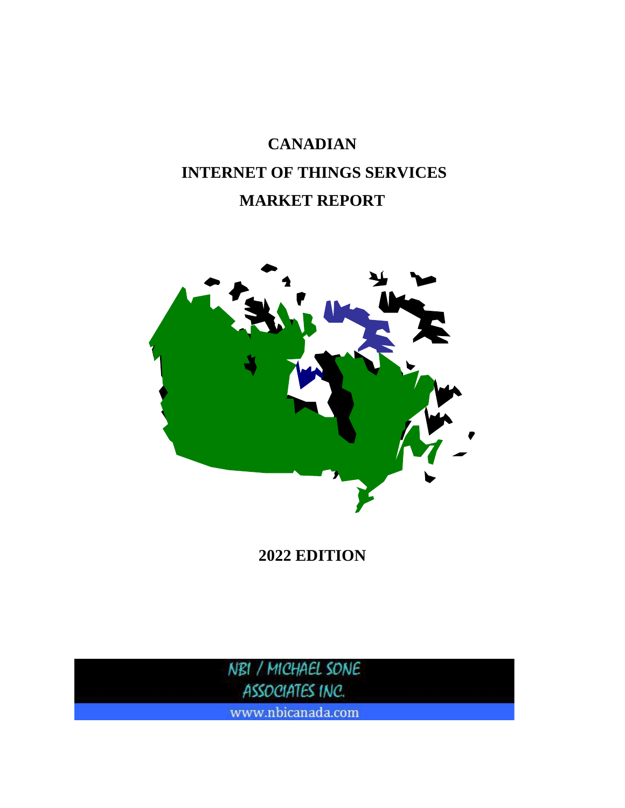# **CANADIAN INTERNET OF THINGS SERVICES MARKET REPORT**



**2022 EDITION**

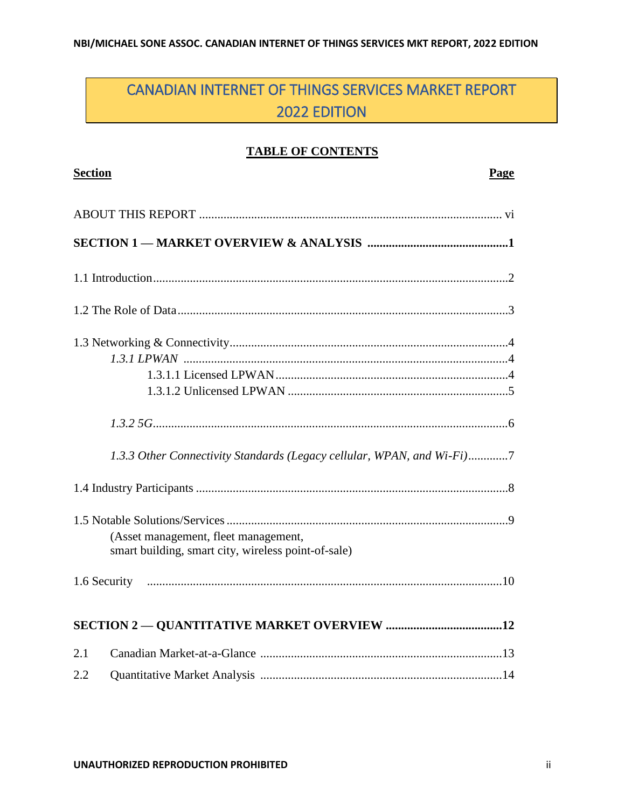# CANADIAN INTERNET OF THINGS SERVICES MARKET REPORT 2022 EDITION

#### **TABLE OF CONTENTS**

| <b>Section</b>                                                         | Page |
|------------------------------------------------------------------------|------|
|                                                                        |      |
|                                                                        |      |
|                                                                        |      |
|                                                                        |      |
|                                                                        |      |
|                                                                        |      |
|                                                                        |      |
|                                                                        |      |
|                                                                        |      |
| 1.3.3 Other Connectivity Standards (Legacy cellular, WPAN, and Wi-Fi)7 |      |
|                                                                        |      |
|                                                                        |      |
| (Asset management, fleet management,                                   |      |
| smart building, smart city, wireless point-of-sale)                    |      |
|                                                                        |      |
|                                                                        |      |
| 2.1                                                                    |      |
| 2.2                                                                    |      |
|                                                                        |      |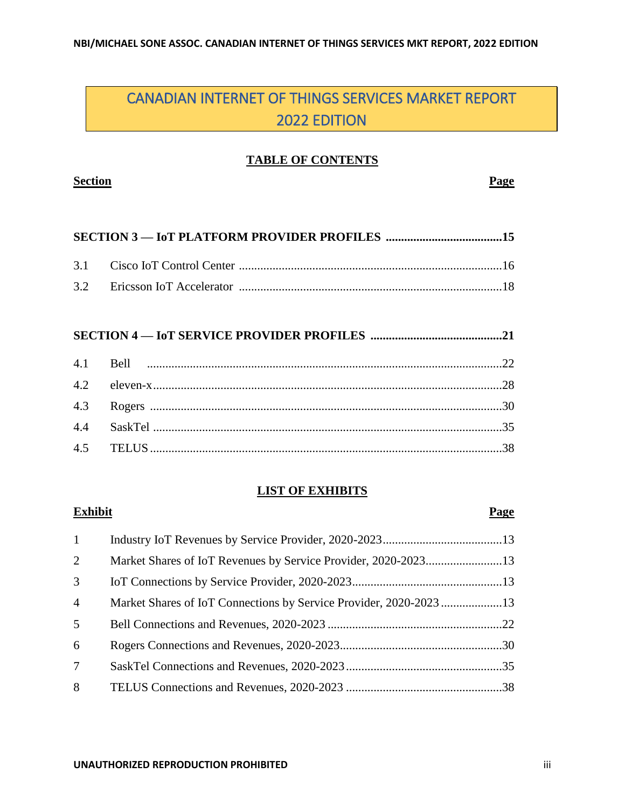### CANADIAN INTERNET OF THINGS SERVICES MARKET REPORT 2022 EDITION

#### **TABLE OF CONTENTS**

#### **Section Page**

#### **SECTION 4 — IoT SERVICE PROVIDER PROFILES ...........................................21**

#### **LIST OF EXHIBITS**

# 1 Industry IoT Revenues by Service Provider, 2020-2023.......................................13 2 Market Shares of IoT Revenues by Service Provider, 2020-2023.........................13 3 IoT Connections by Service Provider, 2020-2023.................................................13 4 Market Shares of IoT Connections by Service Provider, 2020-2023 ....................13 5 Bell Connections and Revenues, 2020-2023 .........................................................22 6 Rogers Connections and Revenues, 2020-2023.....................................................30 7 SaskTel Connections and Revenues, 2020-2023...................................................35 8 TELUS Connections and Revenues, 2020-2023 ...................................................38

**Exhibit Page**